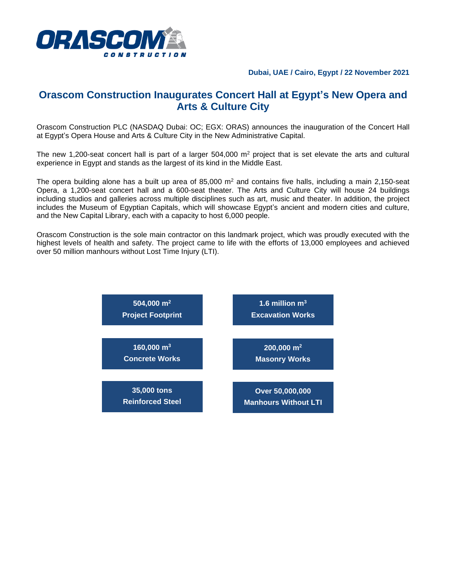

## **Dubai, UAE / Cairo, Egypt / 22 November 2021**

## **Orascom Construction Inaugurates Concert Hall at Egypt's New Opera and Arts & Culture City**

Orascom Construction PLC (NASDAQ Dubai: OC; EGX: ORAS) announces the inauguration of the Concert Hall at Egypt's Opera House and Arts & Culture City in the New Administrative Capital.

The new 1,200-seat concert hall is part of a larger  $504,000$  m<sup>2</sup> project that is set elevate the arts and cultural experience in Egypt and stands as the largest of its kind in the Middle East.

The opera building alone has a built up area of  $85,000$  m<sup>2</sup> and contains five halls, including a main 2,150-seat Opera, a 1,200-seat concert hall and a 600-seat theater. The Arts and Culture City will house 24 buildings including studios and galleries across multiple disciplines such as art, music and theater. In addition, the project includes the Museum of Egyptian Capitals, which will showcase Egypt's ancient and modern cities and culture, and the New Capital Library, each with a capacity to host 6,000 people.

Orascom Construction is the sole main contractor on this landmark project, which was proudly executed with the highest levels of health and safety. The project came to life with the efforts of 13,000 employees and achieved over 50 million manhours without Lost Time Injury (LTI).